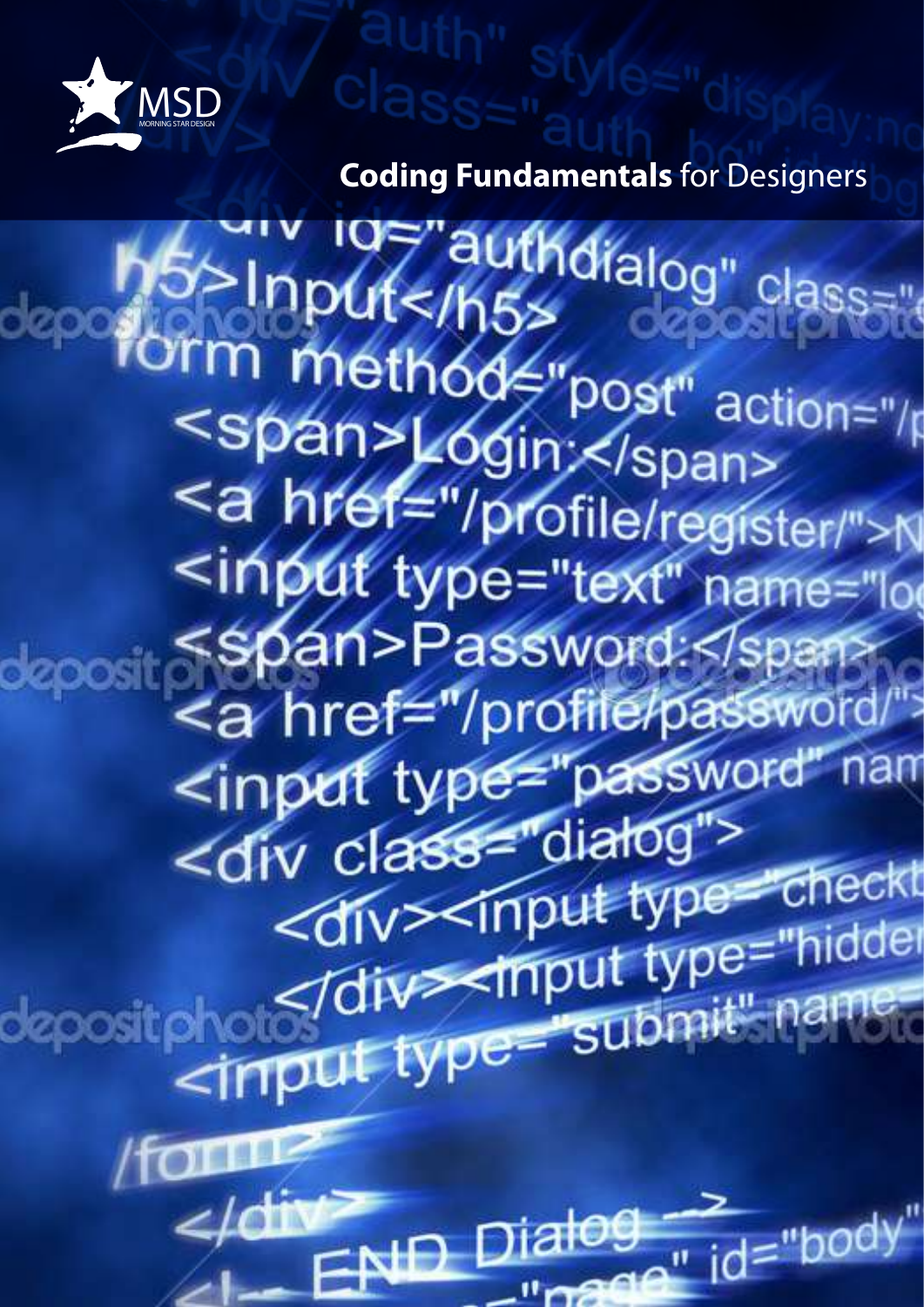

Coding Fundamentals for Designers<br> **Coding Fundamentals** for Designers dependent methods"post" action="/r span>Login </a>/span> <a href="/profile/register/">N <input type="text" name="log deposit Span>Password:</span> <a href="/profile/password/"> <input type="password" nan <div class="diatog"> V Class- Change-checkt div><input type="hidder></div><input type="hidder></div></div></input type="hidder></div></div></a></div></a></a> striput type="submit" name=  $/6000$ 

 $\leq$ /div $\leq$  Diatog  $\geq$  id="body"

 $\frac{1}{\sqrt{2}}$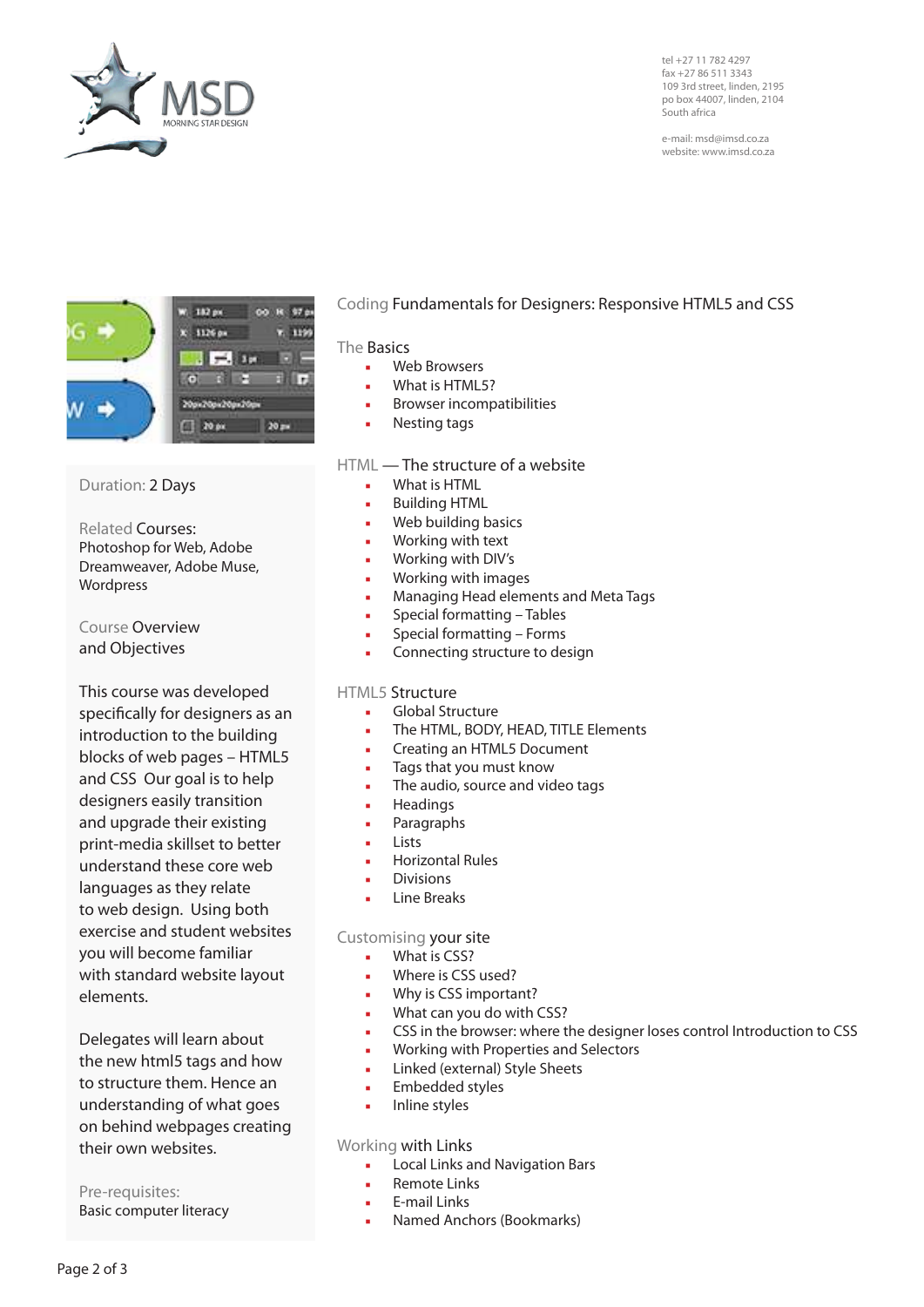

tel +27 11 782 4297 fax +27 86 511 3343 109 3rd street, linden, 2195 po box 44007, linden, 2104 .<br>South africa

e-mail: msd@imsd.co.za website: www.imsd.co.za



### Duration: 2 Days

Related Courses: Photoshop for Web, Adobe Dreamweaver, Adobe Muse, **Wordpress** 

Course Overview and Objectives

This course was developed specifically for designers as an introduction to the building blocks of web pages – HTML5 and CSS Our goal is to help designers easily transition and upgrade their existing print-media skillset to better understand these core web languages as they relate to web design. Using both exercise and student websites you will become familiar with standard website layout elements.

Delegates will learn about the new html5 tags and how to structure them. Hence an understanding of what goes on behind webpages creating their own websites.

Pre-requisites:

Basic computer literacy

# Coding Fundamentals for Designers: Responsive HTML5 and CSS

#### The Basics

- Web Browsers
- What is HTML5?
- Browser incompatibilities
- Nesting tags

### HTML — The structure of a website

- What is HTML
- **Building HTML**
- Web building basics
- Working with text
- Working with DIV's
- Working with images
- Managing Head elements and Meta Tags
- Special formatting Tables
- Special formatting Forms
- Connecting structure to design

### HTML5 Structure

- Global Structure
- The HTML, BODY, HEAD, TITLE Elements
- Creating an HTML5 Document
- Tags that you must know
- The audio, source and video tags
- **Headings**
- **Paragraphs**
- Lists
- Horizontal Rules
- **Divisions**
- **Line Breaks**

### Customising your site

- What is CSS?
- Where is CSS used?
- Why is CSS important?
- What can you do with CSS?
- CSS in the browser: where the designer loses control Introduction to CSS
- Working with Properties and Selectors
- Linked (external) Style Sheets
- Embedded styles
- Inline styles

## Working with Links

- **Local Links and Navigation Bars** 
	- Remote Links
- **E-mail Links**
- Named Anchors (Bookmarks)